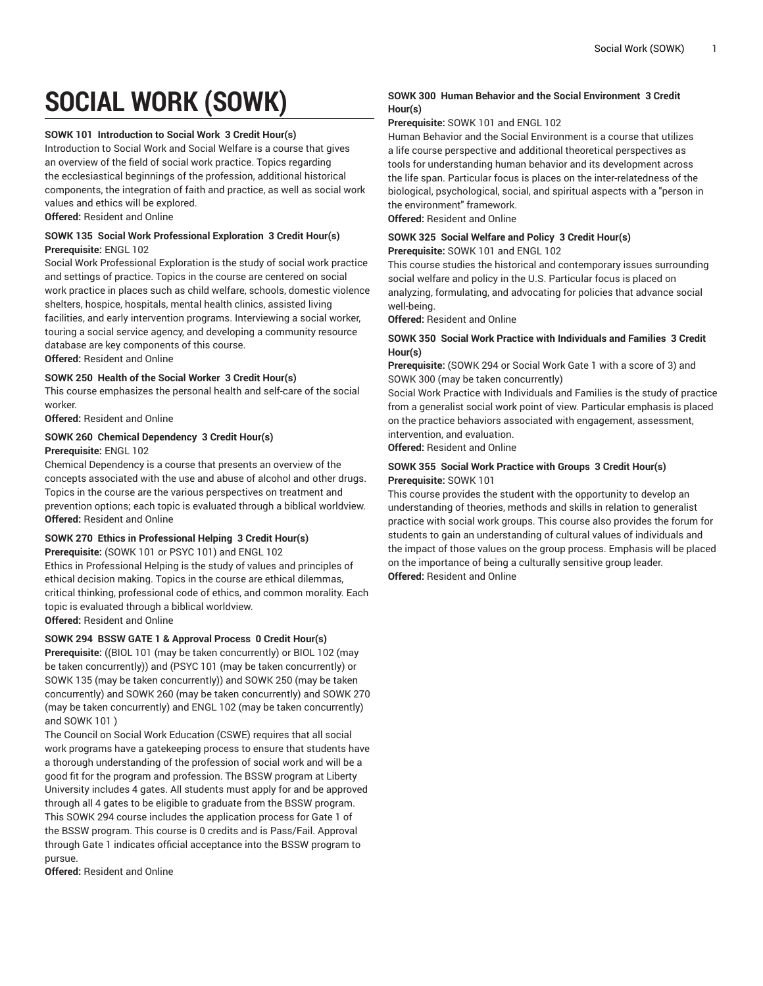# **SOCIAL WORK (SOWK)**

#### **SOWK 101 Introduction to Social Work 3 Credit Hour(s)**

Introduction to Social Work and Social Welfare is a course that gives an overview of the field of social work practice. Topics regarding the ecclesiastical beginnings of the profession, additional historical components, the integration of faith and practice, as well as social work values and ethics will be explored.

**Offered:** Resident and Online

### **SOWK 135 Social Work Professional Exploration 3 Credit Hour(s) Prerequisite:** ENGL 102

Social Work Professional Exploration is the study of social work practice and settings of practice. Topics in the course are centered on social work practice in places such as child welfare, schools, domestic violence shelters, hospice, hospitals, mental health clinics, assisted living facilities, and early intervention programs. Interviewing a social worker, touring a social service agency, and developing a community resource database are key components of this course. **Offered:** Resident and Online

#### **SOWK 250 Health of the Social Worker 3 Credit Hour(s)**

This course emphasizes the personal health and self-care of the social worker.

**Offered:** Resident and Online

# **SOWK 260 Chemical Dependency 3 Credit Hour(s)**

**Prerequisite:** ENGL 102

Chemical Dependency is a course that presents an overview of the concepts associated with the use and abuse of alcohol and other drugs. Topics in the course are the various perspectives on treatment and prevention options; each topic is evaluated through a biblical worldview. **Offered:** Resident and Online

#### **SOWK 270 Ethics in Professional Helping 3 Credit Hour(s)**

**Prerequisite:** (SOWK 101 or PSYC 101) and ENGL 102

Ethics in Professional Helping is the study of values and principles of ethical decision making. Topics in the course are ethical dilemmas, critical thinking, professional code of ethics, and common morality. Each topic is evaluated through a biblical worldview.

**Offered:** Resident and Online

# **SOWK 294 BSSW GATE 1 & Approval Process 0 Credit Hour(s)**

**Prerequisite:** ((BIOL 101 (may be taken concurrently) or BIOL 102 (may be taken concurrently)) and (PSYC 101 (may be taken concurrently) or SOWK 135 (may be taken concurrently)) and SOWK 250 (may be taken concurrently) and SOWK 260 (may be taken concurrently) and SOWK 270 (may be taken concurrently) and ENGL 102 (may be taken concurrently) and SOWK 101 )

The Council on Social Work Education (CSWE) requires that all social work programs have a gatekeeping process to ensure that students have a thorough understanding of the profession of social work and will be a good fit for the program and profession. The BSSW program at Liberty University includes 4 gates. All students must apply for and be approved through all 4 gates to be eligible to graduate from the BSSW program. This SOWK 294 course includes the application process for Gate 1 of the BSSW program. This course is 0 credits and is Pass/Fail. Approval through Gate 1 indicates official acceptance into the BSSW program to pursue.

**Offered:** Resident and Online

# **SOWK 300 Human Behavior and the Social Environment 3 Credit Hour(s)**

**Prerequisite:** SOWK 101 and ENGL 102

Human Behavior and the Social Environment is a course that utilizes a life course perspective and additional theoretical perspectives as tools for understanding human behavior and its development across the life span. Particular focus is places on the inter-relatedness of the biological, psychological, social, and spiritual aspects with a "person in the environment" framework. **Offered:** Resident and Online

**SOWK 325 Social Welfare and Policy 3 Credit Hour(s)**

**Prerequisite:** SOWK 101 and ENGL 102

This course studies the historical and contemporary issues surrounding social welfare and policy in the U.S. Particular focus is placed on analyzing, formulating, and advocating for policies that advance social well-being.

**Offered:** Resident and Online

# **SOWK 350 Social Work Practice with Individuals and Families 3 Credit Hour(s)**

**Prerequisite:** (SOWK 294 or Social Work Gate 1 with a score of 3) and SOWK 300 (may be taken concurrently)

Social Work Practice with Individuals and Families is the study of practice from a generalist social work point of view. Particular emphasis is placed on the practice behaviors associated with engagement, assessment, intervention, and evaluation.

**Offered:** Resident and Online

# **SOWK 355 Social Work Practice with Groups 3 Credit Hour(s) Prerequisite:** SOWK 101

This course provides the student with the opportunity to develop an understanding of theories, methods and skills in relation to generalist practice with social work groups. This course also provides the forum for students to gain an understanding of cultural values of individuals and the impact of those values on the group process. Emphasis will be placed on the importance of being a culturally sensitive group leader. **Offered:** Resident and Online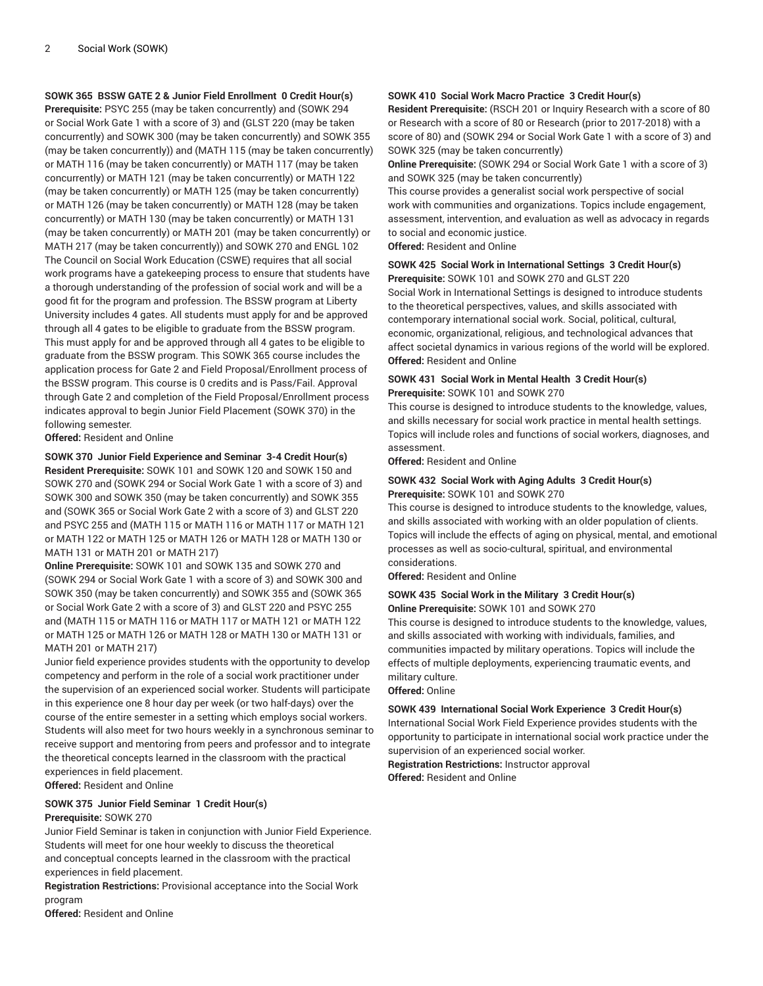**SOWK 365 BSSW GATE 2 & Junior Field Enrollment 0 Credit Hour(s)**

**Prerequisite:** PSYC 255 (may be taken concurrently) and (SOWK 294 or Social Work Gate 1 with a score of 3) and (GLST 220 (may be taken concurrently) and SOWK 300 (may be taken concurrently) and SOWK 355 (may be taken concurrently)) and (MATH 115 (may be taken concurrently) or MATH 116 (may be taken concurrently) or MATH 117 (may be taken concurrently) or MATH 121 (may be taken concurrently) or MATH 122 (may be taken concurrently) or MATH 125 (may be taken concurrently) or MATH 126 (may be taken concurrently) or MATH 128 (may be taken concurrently) or MATH 130 (may be taken concurrently) or MATH 131 (may be taken concurrently) or MATH 201 (may be taken concurrently) or MATH 217 (may be taken concurrently)) and SOWK 270 and ENGL 102 The Council on Social Work Education (CSWE) requires that all social work programs have a gatekeeping process to ensure that students have a thorough understanding of the profession of social work and will be a good fit for the program and profession. The BSSW program at Liberty University includes 4 gates. All students must apply for and be approved through all 4 gates to be eligible to graduate from the BSSW program. This must apply for and be approved through all 4 gates to be eligible to graduate from the BSSW program. This SOWK 365 course includes the application process for Gate 2 and Field Proposal/Enrollment process of the BSSW program. This course is 0 credits and is Pass/Fail. Approval through Gate 2 and completion of the Field Proposal/Enrollment process indicates approval to begin Junior Field Placement (SOWK 370) in the following semester.

**Offered:** Resident and Online

**SOWK 370 Junior Field Experience and Seminar 3-4 Credit Hour(s)**

**Resident Prerequisite:** SOWK 101 and SOWK 120 and SOWK 150 and SOWK 270 and (SOWK 294 or Social Work Gate 1 with a score of 3) and SOWK 300 and SOWK 350 (may be taken concurrently) and SOWK 355 and (SOWK 365 or Social Work Gate 2 with a score of 3) and GLST 220 and PSYC 255 and (MATH 115 or MATH 116 or MATH 117 or MATH 121 or MATH 122 or MATH 125 or MATH 126 or MATH 128 or MATH 130 or MATH 131 or MATH 201 or MATH 217)

**Online Prerequisite:** SOWK 101 and SOWK 135 and SOWK 270 and (SOWK 294 or Social Work Gate 1 with a score of 3) and SOWK 300 and SOWK 350 (may be taken concurrently) and SOWK 355 and (SOWK 365 or Social Work Gate 2 with a score of 3) and GLST 220 and PSYC 255 and (MATH 115 or MATH 116 or MATH 117 or MATH 121 or MATH 122 or MATH 125 or MATH 126 or MATH 128 or MATH 130 or MATH 131 or MATH 201 or MATH 217)

Junior field experience provides students with the opportunity to develop competency and perform in the role of a social work practitioner under the supervision of an experienced social worker. Students will participate in this experience one 8 hour day per week (or two half-days) over the course of the entire semester in a setting which employs social workers. Students will also meet for two hours weekly in a synchronous seminar to receive support and mentoring from peers and professor and to integrate the theoretical concepts learned in the classroom with the practical experiences in field placement.

**Offered:** Resident and Online

# **SOWK 375 Junior Field Seminar 1 Credit Hour(s)**

# **Prerequisite:** SOWK 270

Junior Field Seminar is taken in conjunction with Junior Field Experience. Students will meet for one hour weekly to discuss the theoretical and conceptual concepts learned in the classroom with the practical experiences in field placement.

**Registration Restrictions:** Provisional acceptance into the Social Work program

**Offered:** Resident and Online

# **SOWK 410 Social Work Macro Practice 3 Credit Hour(s)**

**Resident Prerequisite:** (RSCH 201 or Inquiry Research with a score of 80 or Research with a score of 80 or Research (prior to 2017-2018) with a score of 80) and (SOWK 294 or Social Work Gate 1 with a score of 3) and SOWK 325 (may be taken concurrently)

**Online Prerequisite:** (SOWK 294 or Social Work Gate 1 with a score of 3) and SOWK 325 (may be taken concurrently)

This course provides a generalist social work perspective of social work with communities and organizations. Topics include engagement, assessment, intervention, and evaluation as well as advocacy in regards to social and economic justice.

**Offered:** Resident and Online

#### **SOWK 425 Social Work in International Settings 3 Credit Hour(s) Prerequisite:** SOWK 101 and SOWK 270 and GLST 220

Social Work in International Settings is designed to introduce students to the theoretical perspectives, values, and skills associated with contemporary international social work. Social, political, cultural, economic, organizational, religious, and technological advances that affect societal dynamics in various regions of the world will be explored. **Offered:** Resident and Online

# **SOWK 431 Social Work in Mental Health 3 Credit Hour(s) Prerequisite:** SOWK 101 and SOWK 270

This course is designed to introduce students to the knowledge, values, and skills necessary for social work practice in mental health settings. Topics will include roles and functions of social workers, diagnoses, and assessment.

**Offered:** Resident and Online

#### **SOWK 432 Social Work with Aging Adults 3 Credit Hour(s) Prerequisite:** SOWK 101 and SOWK 270

This course is designed to introduce students to the knowledge, values, and skills associated with working with an older population of clients. Topics will include the effects of aging on physical, mental, and emotional processes as well as socio-cultural, spiritual, and environmental considerations.

**Offered:** Resident and Online

#### **SOWK 435 Social Work in the Military 3 Credit Hour(s) Online Prerequisite:** SOWK 101 and SOWK 270

This course is designed to introduce students to the knowledge, values, and skills associated with working with individuals, families, and communities impacted by military operations. Topics will include the effects of multiple deployments, experiencing traumatic events, and military culture.

**Offered:** Online

#### **SOWK 439 International Social Work Experience 3 Credit Hour(s)**

International Social Work Field Experience provides students with the opportunity to participate in international social work practice under the supervision of an experienced social worker.

**Registration Restrictions:** Instructor approval **Offered:** Resident and Online